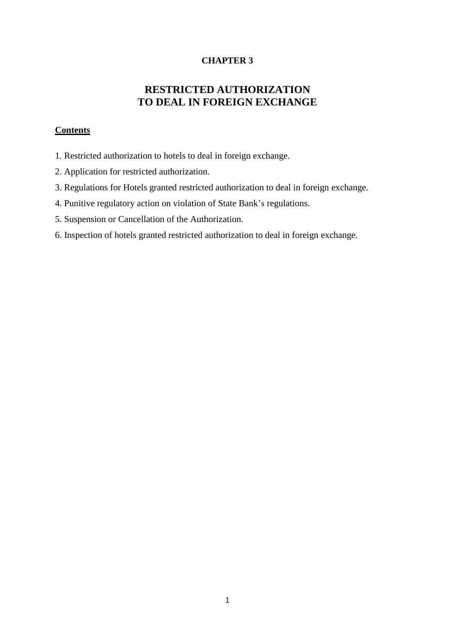### **CHAPTER 3**

# **RESTRICTED AUTHORIZATION TO DEAL IN FOREIGN EXCHANGE**

### **Contents**

- 1. Restricted authorization to hotels to deal in foreign exchange.
- 2. Application for restricted authorization.
- 3. Regulations for Hotels granted restricted authorization to deal in foreign exchange.
- 4. Punitive regulatory action on violation of State Bank's regulations.
- 5. Suspension or Cancellation of the Authorization.
- 6. Inspection of hotels granted restricted authorization to deal in foreign exchange.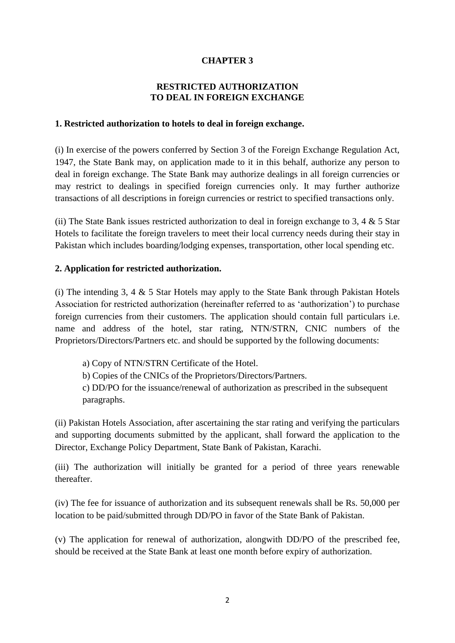### **CHAPTER 3**

### **RESTRICTED AUTHORIZATION TO DEAL IN FOREIGN EXCHANGE**

#### **1. Restricted authorization to hotels to deal in foreign exchange.**

(i) In exercise of the powers conferred by Section 3 of the Foreign Exchange Regulation Act, 1947, the State Bank may, on application made to it in this behalf, authorize any person to deal in foreign exchange. The State Bank may authorize dealings in all foreign currencies or may restrict to dealings in specified foreign currencies only. It may further authorize transactions of all descriptions in foreign currencies or restrict to specified transactions only.

(ii) The State Bank issues restricted authorization to deal in foreign exchange to 3, 4  $\&$  5 Star Hotels to facilitate the foreign travelers to meet their local currency needs during their stay in Pakistan which includes boarding/lodging expenses, transportation, other local spending etc.

### **2. Application for restricted authorization.**

(i) The intending 3, 4  $\&$  5 Star Hotels may apply to the State Bank through Pakistan Hotels Association for restricted authorization (hereinafter referred to as 'authorization') to purchase foreign currencies from their customers. The application should contain full particulars i.e. name and address of the hotel, star rating, NTN/STRN, CNIC numbers of the Proprietors/Directors/Partners etc. and should be supported by the following documents:

a) Copy of NTN/STRN Certificate of the Hotel. b) Copies of the CNICs of the Proprietors/Directors/Partners.

c) DD/PO for the issuance/renewal of authorization as prescribed in the subsequent paragraphs.

(ii) Pakistan Hotels Association, after ascertaining the star rating and verifying the particulars and supporting documents submitted by the applicant, shall forward the application to the Director, Exchange Policy Department, State Bank of Pakistan, Karachi.

(iii) The authorization will initially be granted for a period of three years renewable thereafter.

(iv) The fee for issuance of authorization and its subsequent renewals shall be Rs. 50,000 per location to be paid/submitted through DD/PO in favor of the State Bank of Pakistan.

(v) The application for renewal of authorization, alongwith DD/PO of the prescribed fee, should be received at the State Bank at least one month before expiry of authorization.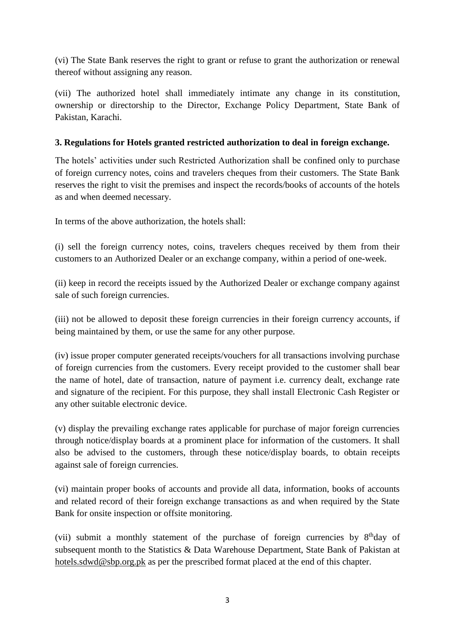(vi) The State Bank reserves the right to grant or refuse to grant the authorization or renewal thereof without assigning any reason.

(vii) The authorized hotel shall immediately intimate any change in its constitution, ownership or directorship to the Director, Exchange Policy Department, State Bank of Pakistan, Karachi.

### **3. Regulations for Hotels granted restricted authorization to deal in foreign exchange.**

The hotels' activities under such Restricted Authorization shall be confined only to purchase of foreign currency notes, coins and travelers cheques from their customers. The State Bank reserves the right to visit the premises and inspect the records/books of accounts of the hotels as and when deemed necessary.

In terms of the above authorization, the hotels shall:

(i) sell the foreign currency notes, coins, travelers cheques received by them from their customers to an Authorized Dealer or an exchange company, within a period of one-week.

(ii) keep in record the receipts issued by the Authorized Dealer or exchange company against sale of such foreign currencies.

(iii) not be allowed to deposit these foreign currencies in their foreign currency accounts, if being maintained by them, or use the same for any other purpose.

(iv) issue proper computer generated receipts/vouchers for all transactions involving purchase of foreign currencies from the customers. Every receipt provided to the customer shall bear the name of hotel, date of transaction, nature of payment i.e. currency dealt, exchange rate and signature of the recipient. For this purpose, they shall install Electronic Cash Register or any other suitable electronic device.

(v) display the prevailing exchange rates applicable for purchase of major foreign currencies through notice/display boards at a prominent place for information of the customers. It shall also be advised to the customers, through these notice/display boards, to obtain receipts against sale of foreign currencies.

(vi) maintain proper books of accounts and provide all data, information, books of accounts and related record of their foreign exchange transactions as and when required by the State Bank for onsite inspection or offsite monitoring.

(vii) submit a monthly statement of the purchase of foreign currencies by 8<sup>th</sup>day of subsequent month to the Statistics & Data Warehouse Department, State Bank of Pakistan at [hotels.sdwd@sbp.org.pk](mailto:hotels.sdwd@sbp.org.pk) as per the prescribed format placed at the end of this chapter.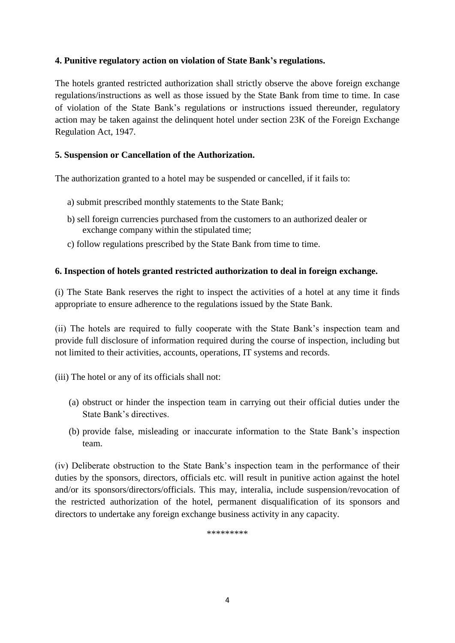### **4. Punitive regulatory action on violation of State Bank's regulations.**

The hotels granted restricted authorization shall strictly observe the above foreign exchange regulations/instructions as well as those issued by the State Bank from time to time. In case of violation of the State Bank's regulations or instructions issued thereunder, regulatory action may be taken against the delinquent hotel under section 23K of the Foreign Exchange Regulation Act, 1947.

### **5. Suspension or Cancellation of the Authorization.**

The authorization granted to a hotel may be suspended or cancelled, if it fails to:

- a) submit prescribed monthly statements to the State Bank;
- b) sell foreign currencies purchased from the customers to an authorized dealer or exchange company within the stipulated time;
- c) follow regulations prescribed by the State Bank from time to time.

### **6. Inspection of hotels granted restricted authorization to deal in foreign exchange.**

(i) The State Bank reserves the right to inspect the activities of a hotel at any time it finds appropriate to ensure adherence to the regulations issued by the State Bank.

(ii) The hotels are required to fully cooperate with the State Bank's inspection team and provide full disclosure of information required during the course of inspection, including but not limited to their activities, accounts, operations, IT systems and records.

(iii) The hotel or any of its officials shall not:

- (a) obstruct or hinder the inspection team in carrying out their official duties under the State Bank's directives.
- (b) provide false, misleading or inaccurate information to the State Bank's inspection team.

(iv) Deliberate obstruction to the State Bank's inspection team in the performance of their duties by the sponsors, directors, officials etc. will result in punitive action against the hotel and/or its sponsors/directors/officials. This may, interalia, include suspension/revocation of the restricted authorization of the hotel, permanent disqualification of its sponsors and directors to undertake any foreign exchange business activity in any capacity.

\*\*\*\*\*\*\*\*\*